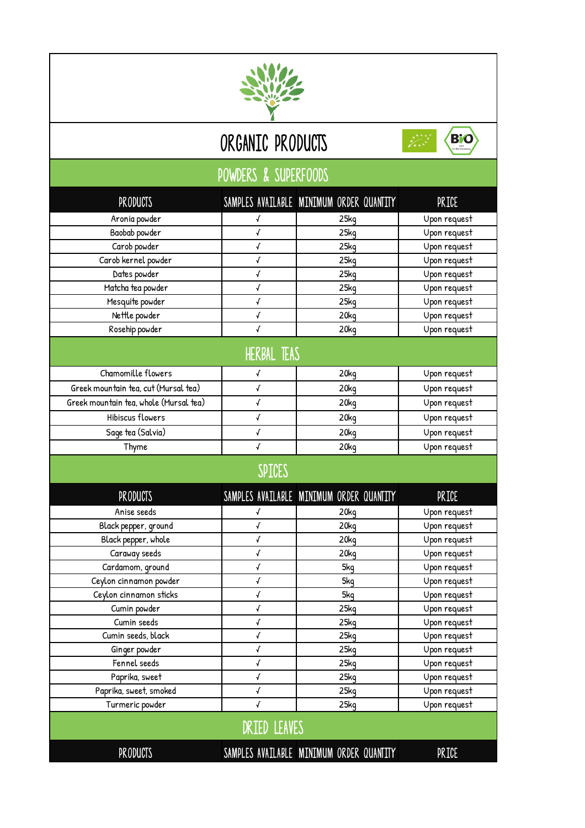

## ORGANIC PRODUCTS



## powders & superfoods

| <b>PRODUCTS</b>                        |                     | SAMPLES AVAILABLE MINIMUM ORDER QUANTITY | PRICE        |  |  |
|----------------------------------------|---------------------|------------------------------------------|--------------|--|--|
| Aronia powder                          | √                   | 25kg                                     | Upon request |  |  |
| Baobab powder                          | √                   | 25kg                                     | Upon request |  |  |
| Carob powder                           | √                   | 25kg                                     | Upon request |  |  |
| Carob kernel powder                    | √                   | 25kg                                     | Upon request |  |  |
| Dates powder                           | $\sqrt{ }$          | 25kg                                     | Upon request |  |  |
| Matcha tea powder                      | √                   | 25kg                                     | Upon request |  |  |
| Mesquite powder                        | √                   | 25kg                                     | Upon request |  |  |
| Nettle powder                          | $\sqrt{ }$          | 20 <sub>kq</sub>                         | Upon request |  |  |
| Rosehip powder                         | $\sqrt{ }$          | 20kg                                     | Upon request |  |  |
| HERBAL TEAS                            |                     |                                          |              |  |  |
| Chamomille flowers                     | √                   | 20kg                                     | Upon request |  |  |
| Greek mountain tea, cut (Mursal tea)   | $\sqrt{ }$          | 20kg                                     | Upon request |  |  |
| Greek mountain tea, whole (Mursal tea) | $\sqrt{ }$          | 20kg                                     | Upon request |  |  |
| Hibiscus flowers                       | $\sqrt{ }$          | 20kg                                     | Upon request |  |  |
| Sage tea (Salvia)                      | $\pmb{\sqrt{}}$     | 20 <sub>k</sub> q                        | Upon request |  |  |
| Thyme                                  | $\sqrt{ }$          | 20kg                                     | Upon request |  |  |
| SPICES                                 |                     |                                          |              |  |  |
| <b>PRODUCTS</b>                        |                     | SAMPLES AVAILABLE MINIMUM ORDER QUANTITY | PRICE        |  |  |
| Anise seeds                            | √                   | 20kg                                     | Upon request |  |  |
| Black pepper, ground                   | √                   | 20kg                                     | Upon request |  |  |
| Black pepper, whole                    | $\sqrt{ }$          | 20kg                                     | Upon request |  |  |
| Caraway seeds                          | $\pmb{\sqrt{}}$     | 20kg                                     | Upon request |  |  |
| Cardamom, ground                       | √                   | 5kg                                      | Upon request |  |  |
| Ceylon cinnamon powder                 | $\sqrt{ }$          | 5kg                                      | Upon request |  |  |
| Ceylon cinnamon sticks                 | √                   | 5kq                                      | Upon request |  |  |
| Cumin powder                           | √                   | 25kg                                     | Upon request |  |  |
| Cumin seeds                            | √                   | 25kg                                     | Upon request |  |  |
| Cumin seeds, black                     | √                   | 25kg                                     | Upon request |  |  |
| Ginger powder                          | √                   | 25kg                                     | Upon request |  |  |
| Fennel seeds                           | $\pmb{\mathcal{N}}$ | 25kq                                     | Upon request |  |  |
| Paprika, sweet                         | $\pmb{\mathcal{N}}$ | 25kg                                     | Upon request |  |  |
| Paprika, sweet, smoked                 | $\pmb{\sqrt{}}$     | 25kg                                     | Upon request |  |  |
| Turmeric powder                        | $\sqrt{2}$          | 25kg                                     | Upon request |  |  |
| <b>DRIED LEAVES</b>                    |                     |                                          |              |  |  |
| <b>PRODUCTS</b>                        |                     | SAMPLES AVAILABLE MINIMUM ORDER QUANTITY | <b>PRICE</b> |  |  |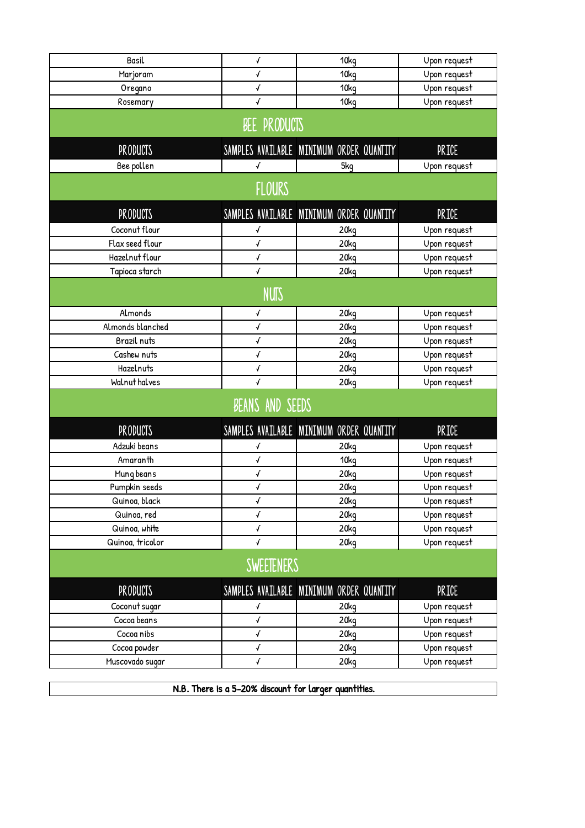| Basil             | $\boldsymbol{\mathcal{J}}$ | 10kg                                     | Upon request |  |  |
|-------------------|----------------------------|------------------------------------------|--------------|--|--|
| Marjoram          | √                          | 10kg                                     | Upon request |  |  |
| Oregano           | $\sqrt{ }$                 | 10kg                                     | Upon request |  |  |
| Rosemary          | √                          | 10kg                                     | Upon request |  |  |
|                   |                            |                                          |              |  |  |
| BEE PRODUCTS      |                            |                                          |              |  |  |
| <b>PRODUCTS</b>   |                            | SAMPLES AVAILABLE MINIMUM ORDER QUANTITY | <b>PRICE</b> |  |  |
| Bee pollen        | $\sqrt{ }$                 | 5kq                                      | Upon request |  |  |
| <b>FLOURS</b>     |                            |                                          |              |  |  |
|                   |                            |                                          |              |  |  |
| <b>PRODUCTS</b>   |                            | SAMPLES AVAILABLE MINIMUM ORDER QUANTITY | <b>PRICE</b> |  |  |
| Coconut flour     | √                          | 20kg                                     | Upon request |  |  |
| Flax seed flour   | $\boldsymbol{\mathcal{J}}$ | 20 <sub>kq</sub>                         | Upon request |  |  |
| Hazelnut flour    | √                          | 20kg                                     | Upon request |  |  |
| Tapioca starch    | $\checkmark$               | 20kg                                     | Upon request |  |  |
| <b>NUTS</b>       |                            |                                          |              |  |  |
| Almonds           | √                          | 20kg                                     | Upon request |  |  |
| Almonds blanched  | $\checkmark$               | 20kg                                     | Upon request |  |  |
| Brazil nuts       | √                          | 20 <sub>kq</sub>                         | Upon request |  |  |
| Cashew nuts       | √                          | 20 <sub>kq</sub>                         | Upon request |  |  |
| Hazelnuts         | $\sqrt{ }$                 | 20kg                                     | Upon request |  |  |
| Walnut halves     | √                          | 20kg                                     | Upon request |  |  |
| BEANS AND SEEDS   |                            |                                          |              |  |  |
| <b>PRODUCTS</b>   |                            | SAMPLES AVAILABLE MINIMUM ORDER QUANTITY | PRICE        |  |  |
| Adzuki beans      | √                          | 20kg                                     | Upon request |  |  |
| Amaranth          | $\checkmark$               | 10kg                                     | Upon request |  |  |
| Mung beans        | √                          | 20kg                                     | Upon request |  |  |
| Pumpkin seeds     | √                          | 20kg                                     | Upon request |  |  |
| Quinoa, black     | $\pmb{\mathcal{N}}$        | 20kg                                     | Upon request |  |  |
| Quinoa, red       | $\pmb{\sqrt{}}$            | 20 <sub>kq</sub>                         | Upon request |  |  |
| Quinoa, white     | $\sqrt{ }$                 | 20kq                                     | Upon request |  |  |
| Quinoa, tricolor  | $\checkmark$               | 20kg                                     | Upon request |  |  |
| <b>SWEETENERS</b> |                            |                                          |              |  |  |
| <b>PRODUCTS</b>   |                            | SAMPLES AVAILABLE MINIMUM ORDER QUANTITY | <b>PRICE</b> |  |  |
| Coconut sugar     | √                          | 20kg                                     | Upon request |  |  |
| Cocog begns       | $\pmb{\mathcal{N}}$        | 20 <sub>kq</sub>                         | Upon request |  |  |
| Cocog nibs        | $\sqrt{ }$                 | 20 <sub>kq</sub>                         | Upon request |  |  |
| Cocoa powder      | $\pmb{\sqrt{}}$            | 20kg                                     | Upon request |  |  |
| Muscovado sugar   | √                          | 20 <sub>kq</sub>                         | Upon request |  |  |

N.B. There is a 5-20% discount for larger quantities.